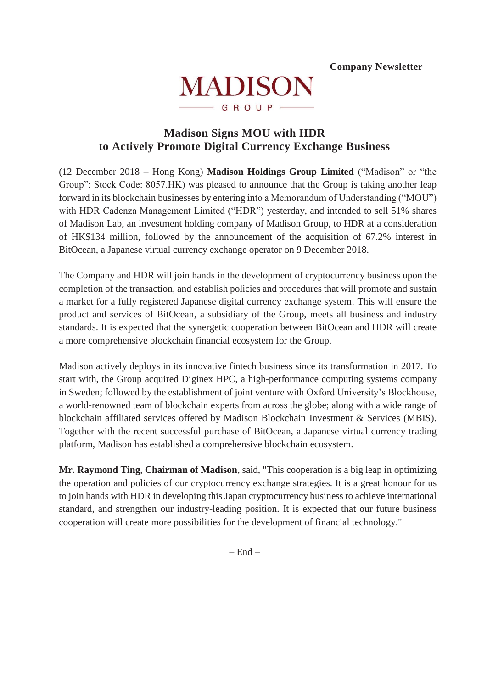

# **Madison Signs MOU with HDR to Actively Promote Digital Currency Exchange Business**

(12 December 2018 – Hong Kong) **Madison Holdings Group Limited** ("Madison" or "the Group"; Stock Code: 8057.HK) was pleased to announce that the Group is taking another leap forward in its blockchain businesses by entering into a Memorandum of Understanding ("MOU") with HDR Cadenza Management Limited ("HDR") yesterday, and intended to sell 51% shares of Madison Lab, an investment holding company of Madison Group, to HDR at a consideration of HK\$134 million, followed by the announcement of the acquisition of 67.2% interest in BitOcean, a Japanese virtual currency exchange operator on 9 December 2018.

The Company and HDR will join hands in the development of cryptocurrency business upon the completion of the transaction, and establish policies and procedures that will promote and sustain a market for a fully registered Japanese digital currency exchange system. This will ensure the product and services of BitOcean, a subsidiary of the Group, meets all business and industry standards. It is expected that the synergetic cooperation between BitOcean and HDR will create a more comprehensive blockchain financial ecosystem for the Group.

Madison actively deploys in its innovative fintech business since its transformation in 2017. To start with, the Group acquired Diginex HPC, a high-performance computing systems company in Sweden; followed by the establishment of joint venture with Oxford University's Blockhouse, a world-renowned team of blockchain experts from across the globe; along with a wide range of blockchain affiliated services offered by Madison Blockchain Investment & Services (MBIS). Together with the recent successful purchase of BitOcean, a Japanese virtual currency trading platform, Madison has established a comprehensive blockchain ecosystem.

**Mr. Raymond Ting, Chairman of Madison**, said, "This cooperation is a big leap in optimizing the operation and policies of our cryptocurrency exchange strategies. It is a great honour for us to join hands with HDR in developing this Japan cryptocurrency business to achieve international standard, and strengthen our industry-leading position. It is expected that our future business cooperation will create more possibilities for the development of financial technology."

 $-$  End  $-$